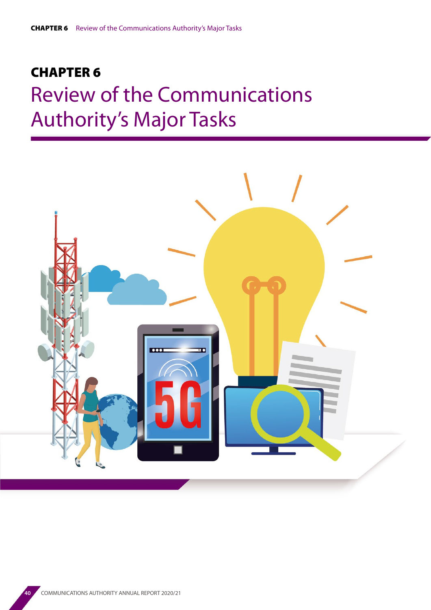# CHAPTER 6 Review of the Communications Authority's Major Tasks

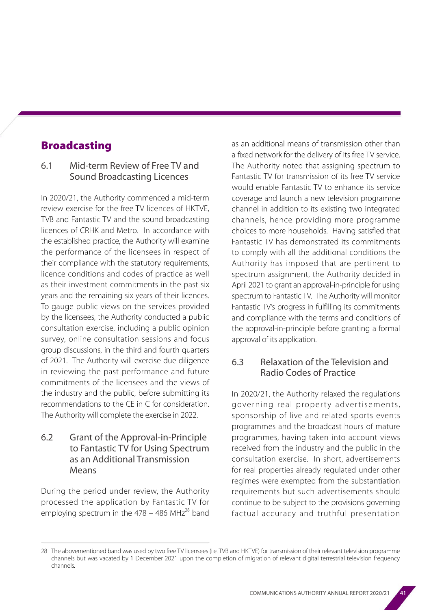# Broadcasting

#### 6.1 Mid-term Review of Free TV and Sound Broadcasting Licences

In 2020/21, the Authority commenced a mid-term review exercise for the free TV licences of HKTVE, TVB and Fantastic TV and the sound broadcasting licences of CRHK and Metro. In accordance with the established practice, the Authority will examine the performance of the licensees in respect of their compliance with the statutory requirements, licence conditions and codes of practice as well as their investment commitments in the past six years and the remaining six years of their licences. To gauge public views on the services provided by the licensees, the Authority conducted a public consultation exercise, including a public opinion survey, online consultation sessions and focus group discussions, in the third and fourth quarters of 2021. The Authority will exercise due diligence in reviewing the past performance and future commitments of the licensees and the views of the industry and the public, before submitting its recommendations to the CE in C for consideration. The Authority will complete the exercise in 2022.

#### 6.2 Grant of the Approval-in-Principle to Fantastic TV for Using Spectrum as an Additional Transmission Means

During the period under review, the Authority processed the application by Fantastic TV for employing spectrum in the  $478 - 486$  MHz<sup>28</sup> band as an additional means of transmission other than a fixed network for the delivery of its free TV service. The Authority noted that assigning spectrum to Fantastic TV for transmission of its free TV service would enable Fantastic TV to enhance its service coverage and launch a new television programme channel in addition to its existing two integrated channels, hence providing more programme choices to more households. Having satisfied that Fantastic TV has demonstrated its commitments to comply with all the additional conditions the Authority has imposed that are pertinent to spectrum assignment, the Authority decided in April 2021 to grant an approval-in-principle for using spectrum to Fantastic TV. The Authority will monitor Fantastic TV's progress in fulfilling its commitments and compliance with the terms and conditions of the approval-in-principle before granting a formal approval of its application.

## 6.3 Relaxation of the Television and Radio Codes of Practice

In 2020/21, the Authority relaxed the regulations governing real property advertisements, sponsorship of live and related sports events programmes and the broadcast hours of mature programmes, having taken into account views received from the industry and the public in the consultation exercise. In short, advertisements for real properties already regulated under other regimes were exempted from the substantiation requirements but such advertisements should continue to be subject to the provisions governing factual accuracy and truthful presentation

<sup>28</sup> The abovementioned band was used by two free TV licensees (i.e. TVB and HKTVE) for transmission of their relevant television programme channels but was vacated by 1 December 2021 upon the completion of migration of relevant digital terrestrial television frequency channels.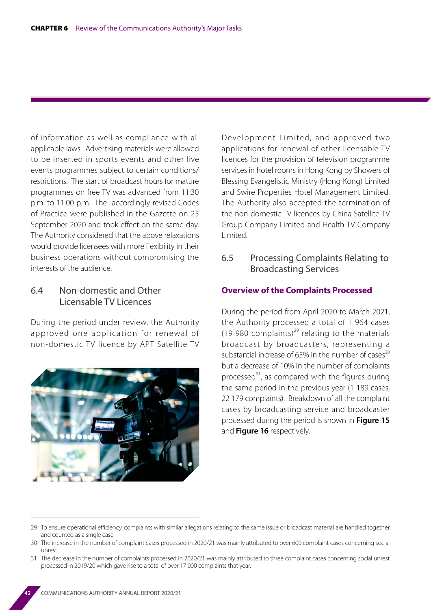of information as well as compliance with all applicable laws. Advertising materials were allowed to be inserted in sports events and other live events programmes subject to certain conditions/ restrictions. The start of broadcast hours for mature programmes on free TV was advanced from 11:30 p.m. to 11:00 p.m. The accordingly revised Codes of Practice were published in the Gazette on 25 September 2020 and took effect on the same day. The Authority considered that the above relaxations would provide licensees with more flexibility in their business operations without compromising the interests of the audience.

## 6.4 Non-domestic and Other Licensable TV Licences

During the period under review, the Authority approved one application for renewal of non-domestic TV licence by APT Satellite TV



Development Limited, and approved two applications for renewal of other licensable TV licences for the provision of television programme services in hotel rooms in Hong Kong by Showers of Blessing Evangelistic Ministry (Hong Kong) Limited and Swire Properties Hotel Management Limited. The Authority also accepted the termination of the non-domestic TV licences by China Satellite TV Group Company Limited and Health TV Company Limited.

#### 6.5 Processing Complaints Relating to Broadcasting Services

#### **Overview of the Complaints Processed**

During the period from April 2020 to March 2021, the Authority processed a total of 1 964 cases (19 980 complaints)<sup>29</sup> relating to the materials broadcast by broadcasters, representing a substantial increase of 65% in the number of cases $^{30}$ but a decrease of 10% in the number of complaints processed $31$ , as compared with the figures during the same period in the previous year (1 189 cases, 22 179 complaints). Breakdown of all the complaint cases by broadcasting service and broadcaster processed during the period is shown in **Figure 15** and **Figure 16** respectively.

<sup>29</sup> To ensure operational efficiency, complaints with similar allegations relating to the same issue or broadcast material are handled together and counted as a single case.

<sup>30</sup> The increase in the number of complaint cases processed in 2020/21 was mainly attributed to over 600 complaint cases concerning social unrest.

<sup>31</sup> The decrease in the number of complaints processed in 2020/21 was mainly attributed to three complaint cases concerning social unrest processed in 2019/20 which gave rise to a total of over 17 000 complaints that year.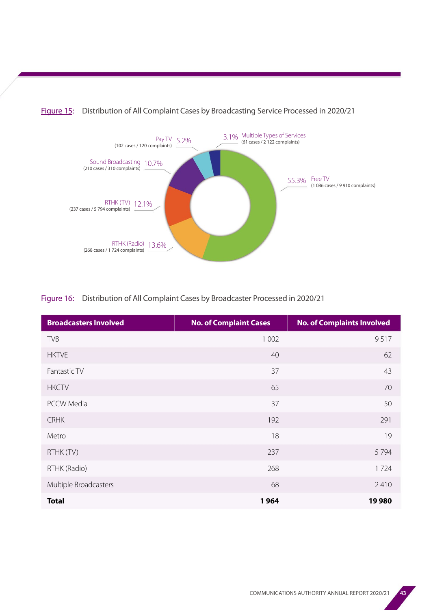

#### Figure 15: Distribution of All Complaint Cases by Broadcasting Service Processed in 2020/21

#### Figure 16: Distribution of All Complaint Cases by Broadcaster Processed in 2020/21

| <b>Broadcasters Involved</b> | <b>No. of Complaint Cases</b> | <b>No. of Complaints Involved</b> |
|------------------------------|-------------------------------|-----------------------------------|
| <b>TVB</b>                   | 1 0 0 2                       | 9517                              |
| <b>HKTVE</b>                 | 40                            | 62                                |
| Fantastic TV                 | 37                            | 43                                |
| <b>HKCTV</b>                 | 65                            | 70                                |
| <b>PCCW Media</b>            | 37                            | 50                                |
| <b>CRHK</b>                  | 192                           | 291                               |
| Metro                        | 18                            | 19                                |
| RTHK (TV)                    | 237                           | 5794                              |
| RTHK (Radio)                 | 268                           | 1724                              |
| Multiple Broadcasters        | 68                            | 2410                              |
| <b>Total</b>                 | 1964                          | 19980                             |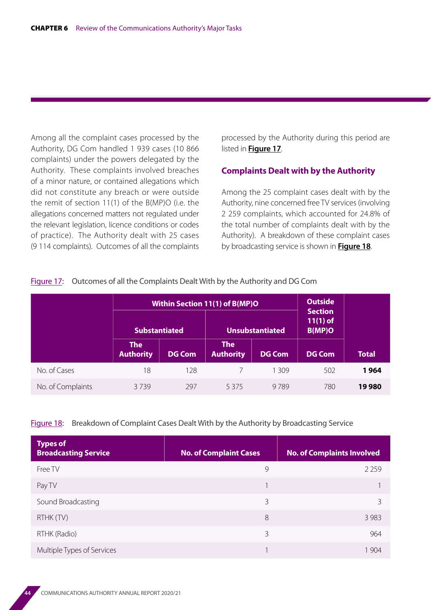Among all the complaint cases processed by the Authority, DG Com handled 1 939 cases (10 866 complaints) under the powers delegated by the Authority. These complaints involved breaches of a minor nature, or contained allegations which did not constitute any breach or were outside the remit of section 11(1) of the B(MP)O (i.e. the allegations concerned matters not regulated under the relevant legislation, licence conditions or codes of practice). The Authority dealt with 25 cases (9 114 complaints). Outcomes of all the complaints

processed by the Authority during this period are listed in **Figure 17**.

#### **Complaints Dealt with by the Authority**

Among the 25 complaint cases dealt with by the Authority, nine concerned free TV services (involving 2 259 complaints, which accounted for 24.8% of the total number of complaints dealt with by the Authority). A breakdown of these complaint cases by broadcasting service is shown in **Figure 18**.

|                   | <b>Within Section 11(1) of B(MP)O</b> |               |                                |               | <b>Outside</b><br><b>Section</b> |              |
|-------------------|---------------------------------------|---------------|--------------------------------|---------------|----------------------------------|--------------|
|                   | <b>Substantiated</b>                  |               | <b>Unsubstantiated</b>         |               | $11(1)$ of<br><b>B(MP)O</b>      |              |
|                   | <b>The</b><br><b>Authority</b>        | <b>DG Com</b> | <b>The</b><br><b>Authority</b> | <b>DG Com</b> | DG Com                           | <b>Total</b> |
| No. of Cases      | 18                                    | 128           |                                | 1309          | 502                              | 1964         |
| No. of Complaints | 3739                                  | 297           | 5375                           | 9789          | 780                              | 19980        |

#### Figure 17: Outcomes of all the Complaints Dealt With by the Authority and DG Com

#### Figure 18: Breakdown of Complaint Cases Dealt With by the Authority by Broadcasting Service

| <b>Types of</b><br><b>Broadcasting Service</b> | <b>No. of Complaint Cases</b> | <b>No. of Complaints Involved</b> |
|------------------------------------------------|-------------------------------|-----------------------------------|
| Free TV                                        | 9                             | 2 2 5 9                           |
| Pay TV                                         |                               |                                   |
| Sound Broadcasting                             | 3                             | 3                                 |
| RTHK (TV)                                      | 8                             | 3 9 8 3                           |
| RTHK (Radio)                                   | 3                             | 964                               |
| Multiple Types of Services                     |                               | 1 904                             |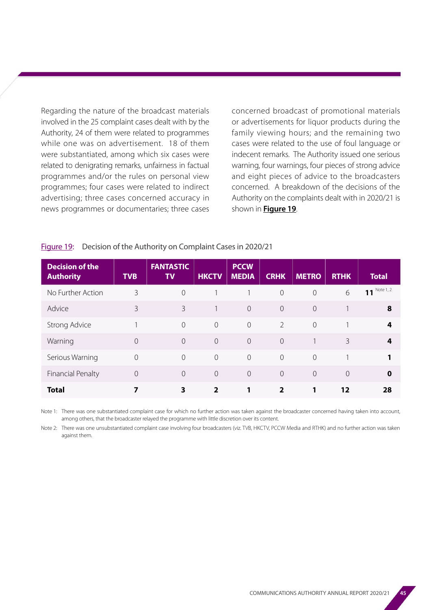Regarding the nature of the broadcast materials involved in the 25 complaint cases dealt with by the Authority, 24 of them were related to programmes while one was on advertisement. 18 of them were substantiated, among which six cases were related to denigrating remarks, unfairness in factual programmes and/or the rules on personal view programmes; four cases were related to indirect advertising; three cases concerned accuracy in news programmes or documentaries; three cases concerned broadcast of promotional materials or advertisements for liquor products during the family viewing hours; and the remaining two cases were related to the use of foul language or indecent remarks. The Authority issued one serious warning, four warnings, four pieces of strong advice and eight pieces of advice to the broadcasters concerned. A breakdown of the decisions of the Authority on the complaints dealt with in 2020/21 is shown in **Figure 19**.

#### Figure 19: Decision of the Authority on Complaint Cases in 2020/21

| <b>Decision of the</b><br><b>Authority</b> | <b>TVB</b> | <b>FANTASTIC</b><br><b>TV</b> | <b>HKCTV</b>   | <b>PCCW</b><br><b>MEDIA</b> | <b>CRHK</b>    | <b>METRO</b>   | <b>RTHK</b>    | <b>Total</b> |
|--------------------------------------------|------------|-------------------------------|----------------|-----------------------------|----------------|----------------|----------------|--------------|
| No Further Action                          | 3          | $\overline{0}$                |                |                             | $\overline{0}$ | $\overline{0}$ | 6              | 11 Note 1, 2 |
| Advice                                     | 3          | 3                             |                | $\Omega$                    | $\overline{0}$ | $\Omega$       |                | 8            |
| Strong Advice                              |            | $\overline{0}$                | $\overline{O}$ | $\sqrt{a}$                  | $\overline{2}$ | $\overline{0}$ |                | 4            |
| Warning                                    | $\Omega$   | $\Omega$                      | $\overline{0}$ | $\overline{0}$              | $\Omega$       |                | 3              | 4            |
| Serious Warning                            | $\Omega$   | $\overline{0}$                | $\overline{0}$ | $\overline{0}$              | $\overline{0}$ | $\Omega$       |                | 1            |
| <b>Financial Penalty</b>                   | $\Omega$   | $\overline{0}$                | $\overline{O}$ | $\overline{0}$              | $\overline{0}$ | $\overline{0}$ | $\overline{0}$ | $\mathbf 0$  |
| <b>Total</b>                               |            | 3                             | 2              |                             | 2              |                | 12             | 28           |

Note 1: There was one substantiated complaint case for which no further action was taken against the broadcaster concerned having taken into account, among others, that the broadcaster relayed the programme with little discretion over its content.

Note 2: There was one unsubstantiated complaint case involving four broadcasters (viz. TVB, HKCTV, PCCW Media and RTHK) and no further action was taken against them.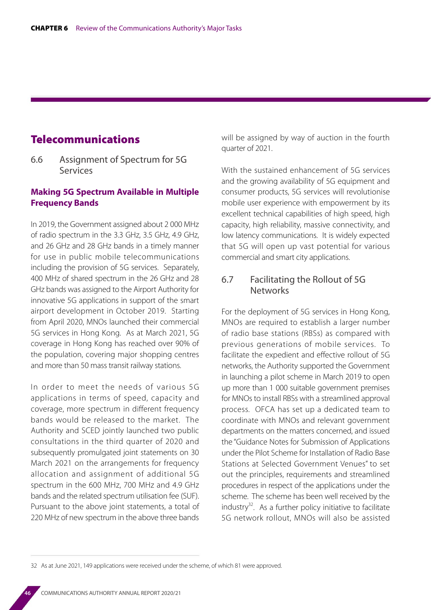## Telecommunications

6.6 Assignment of Spectrum for 5G Services

#### **Making 5G Spectrum Available in Multiple Frequency Bands**

In 2019, the Government assigned about 2 000 MHz of radio spectrum in the 3.3 GHz, 3.5 GHz, 4.9 GHz, and 26 GHz and 28 GHz bands in a timely manner for use in public mobile telecommunications including the provision of 5G services. Separately, 400 MHz of shared spectrum in the 26 GHz and 28 GHz bands was assigned to the Airport Authority for innovative 5G applications in support of the smart airport development in October 2019. Starting from April 2020, MNOs launched their commercial 5G services in Hong Kong. As at March 2021, 5G coverage in Hong Kong has reached over 90% of the population, covering major shopping centres and more than 50 mass transit railway stations.

In order to meet the needs of various 5G applications in terms of speed, capacity and coverage, more spectrum in different frequency bands would be released to the market. The Authority and SCED jointly launched two public consultations in the third quarter of 2020 and subsequently promulgated joint statements on 30 March 2021 on the arrangements for frequency allocation and assignment of additional 5G spectrum in the 600 MHz, 700 MHz and 4.9 GHz bands and the related spectrum utilisation fee (SUF). Pursuant to the above joint statements, a total of 220 MHz of new spectrum in the above three bands

will be assigned by way of auction in the fourth quarter of 2021.

With the sustained enhancement of 5G services and the growing availability of 5G equipment and consumer products, 5G services will revolutionise mobile user experience with empowerment by its excellent technical capabilities of high speed, high capacity, high reliability, massive connectivity, and low latency communications. It is widely expected that 5G will open up vast potential for various commercial and smart city applications.

#### 6.7 Facilitating the Rollout of 5G **Networks**

For the deployment of 5G services in Hong Kong, MNOs are required to establish a larger number of radio base stations (RBSs) as compared with previous generations of mobile services. To facilitate the expedient and effective rollout of 5G networks, the Authority supported the Government in launching a pilot scheme in March 2019 to open up more than 1 000 suitable government premises for MNOs to install RBSs with a streamlined approval process. OFCA has set up a dedicated team to coordinate with MNOs and relevant government departments on the matters concerned, and issued the "Guidance Notes for Submission of Applications under the Pilot Scheme for Installation of Radio Base Stations at Selected Government Venues" to set out the principles, requirements and streamlined procedures in respect of the applications under the scheme. The scheme has been well received by the industry $32$ . As a further policy initiative to facilitate 5G network rollout, MNOs will also be assisted

<sup>32</sup> As at June 2021, 149 applications were received under the scheme, of which 81 were approved.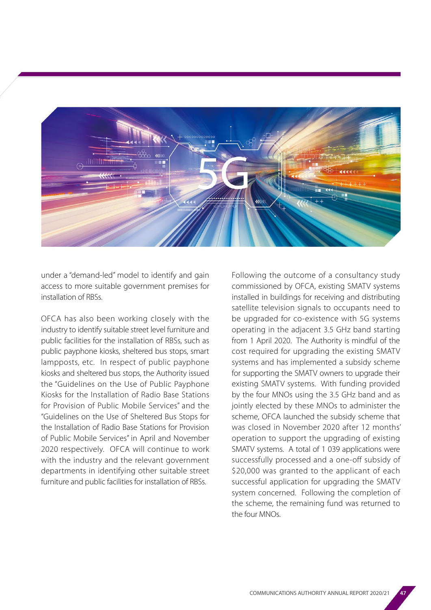

under a "demand-led" model to identify and gain access to more suitable government premises for installation of RBSs.

OFCA has also been working closely with the industry to identify suitable street level furniture and public facilities for the installation of RBSs, such as public payphone kiosks, sheltered bus stops, smart lampposts, etc. In respect of public payphone kiosks and sheltered bus stops, the Authority issued the "Guidelines on the Use of Public Payphone Kiosks for the Installation of Radio Base Stations for Provision of Public Mobile Services" and the "Guidelines on the Use of Sheltered Bus Stops for the Installation of Radio Base Stations for Provision of Public Mobile Services" in April and November 2020 respectively. OFCA will continue to work with the industry and the relevant government departments in identifying other suitable street furniture and public facilities for installation of RBSs.

Following the outcome of a consultancy study commissioned by OFCA, existing SMATV systems installed in buildings for receiving and distributing satellite television signals to occupants need to be upgraded for co-existence with 5G systems operating in the adjacent 3.5 GHz band starting from 1 April 2020. The Authority is mindful of the cost required for upgrading the existing SMATV systems and has implemented a subsidy scheme for supporting the SMATV owners to upgrade their existing SMATV systems. With funding provided by the four MNOs using the 3.5 GHz band and as jointly elected by these MNOs to administer the scheme, OFCA launched the subsidy scheme that was closed in November 2020 after 12 months' operation to support the upgrading of existing SMATV systems. A total of 1 039 applications were successfully processed and a one-off subsidy of \$20,000 was granted to the applicant of each successful application for upgrading the SMATV system concerned. Following the completion of the scheme, the remaining fund was returned to the four MNOs.

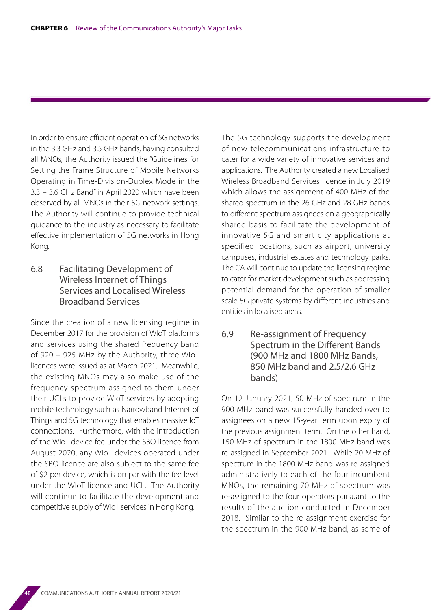In order to ensure efficient operation of 5G networks in the 3.3 GHz and 3.5 GHz bands, having consulted all MNOs, the Authority issued the "Guidelines for Setting the Frame Structure of Mobile Networks Operating in Time-Division-Duplex Mode in the 3.3 – 3.6 GHz Band" in April 2020 which have been observed by all MNOs in their 5G network settings. The Authority will continue to provide technical guidance to the industry as necessary to facilitate effective implementation of 5G networks in Hong Kong.

## 6.8 Facilitating Development of Wireless Internet of Things Services and Localised Wireless Broadband Services

Since the creation of a new licensing regime in December 2017 for the provision of WIoT platforms and services using the shared frequency band of 920 – 925 MHz by the Authority, three WIoT licences were issued as at March 2021. Meanwhile, the existing MNOs may also make use of the frequency spectrum assigned to them under their UCLs to provide WIoT services by adopting mobile technology such as Narrowband Internet of Things and 5G technology that enables massive IoT connections. Furthermore, with the introduction of the WIoT device fee under the SBO licence from August 2020, any WIoT devices operated under the SBO licence are also subject to the same fee of \$2 per device, which is on par with the fee level under the WIoT licence and UCL. The Authority will continue to facilitate the development and competitive supply of WIoT services in Hong Kong.

The 5G technology supports the development of new telecommunications infrastructure to cater for a wide variety of innovative services and applications. The Authority created a new Localised Wireless Broadband Services licence in July 2019 which allows the assignment of 400 MHz of the shared spectrum in the 26 GHz and 28 GHz bands to different spectrum assignees on a geographically shared basis to facilitate the development of innovative 5G and smart city applications at specified locations, such as airport, university campuses, industrial estates and technology parks. The CA will continue to update the licensing regime to cater for market development such as addressing potential demand for the operation of smaller scale 5G private systems by different industries and entities in localised areas.

#### 6.9 Re-assignment of Frequency Spectrum in the Different Bands (900 MHz and 1800 MHz Bands, 850 MHz band and 2.5/2.6 GHz bands)

On 12 January 2021, 50 MHz of spectrum in the 900 MHz band was successfully handed over to assignees on a new 15-year term upon expiry of the previous assignment term. On the other hand, 150 MHz of spectrum in the 1800 MHz band was re-assigned in September 2021. While 20 MHz of spectrum in the 1800 MHz band was re-assigned administratively to each of the four incumbent MNOs, the remaining 70 MHz of spectrum was re-assigned to the four operators pursuant to the results of the auction conducted in December 2018. Similar to the re-assignment exercise for the spectrum in the 900 MHz band, as some of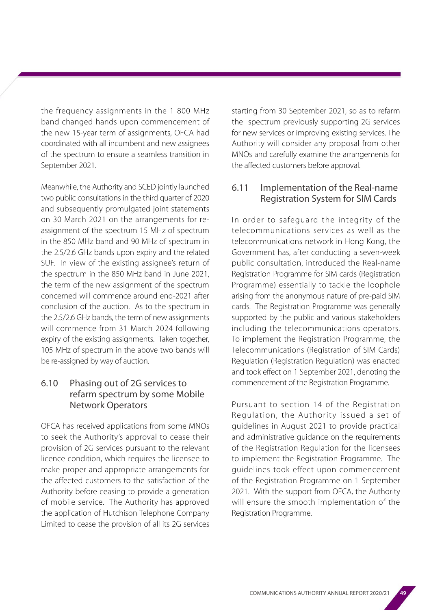the frequency assignments in the 1 800 MHz band changed hands upon commencement of the new 15-year term of assignments, OFCA had coordinated with all incumbent and new assignees of the spectrum to ensure a seamless transition in September 2021.

Meanwhile, the Authority and SCED jointly launched two public consultations in the third quarter of 2020 and subsequently promulgated joint statements on 30 March 2021 on the arrangements for reassignment of the spectrum 15 MHz of spectrum in the 850 MHz band and 90 MHz of spectrum in the 2.5/2.6 GHz bands upon expiry and the related SUF. In view of the existing assignee's return of the spectrum in the 850 MHz band in June 2021, the term of the new assignment of the spectrum concerned will commence around end-2021 after conclusion of the auction. As to the spectrum in the 2.5/2.6 GHz bands, the term of new assignments will commence from 31 March 2024 following expiry of the existing assignments. Taken together, 105 MHz of spectrum in the above two bands will be re-assigned by way of auction.

## 6.10 Phasing out of 2G services to refarm spectrum by some Mobile Network Operators

OFCA has received applications from some MNOs to seek the Authority's approval to cease their provision of 2G services pursuant to the relevant licence condition, which requires the licensee to make proper and appropriate arrangements for the affected customers to the satisfaction of the Authority before ceasing to provide a generation of mobile service. The Authority has approved the application of Hutchison Telephone Company Limited to cease the provision of all its 2G services starting from 30 September 2021, so as to refarm the spectrum previously supporting 2G services for new services or improving existing services. The Authority will consider any proposal from other MNOs and carefully examine the arrangements for the affected customers before approval.

## 6.11 Implementation of the Real-name Registration System for SIM Cards

In order to safeguard the integrity of the telecommunications services as well as the telecommunications network in Hong Kong, the Government has, after conducting a seven-week public consultation, introduced the Real-name Registration Programme for SIM cards (Registration Programme) essentially to tackle the loophole arising from the anonymous nature of pre-paid SIM cards. The Registration Programme was generally supported by the public and various stakeholders including the telecommunications operators. To implement the Registration Programme, the Telecommunications (Registration of SIM Cards) Regulation (Registration Regulation) was enacted and took effect on 1 September 2021, denoting the commencement of the Registration Programme.

Pursuant to section 14 of the Registration Regulation, the Authority issued a set of guidelines in August 2021 to provide practical and administrative guidance on the requirements of the Registration Regulation for the licensees to implement the Registration Programme. The guidelines took effect upon commencement of the Registration Programme on 1 September 2021. With the support from OFCA, the Authority will ensure the smooth implementation of the Registration Programme.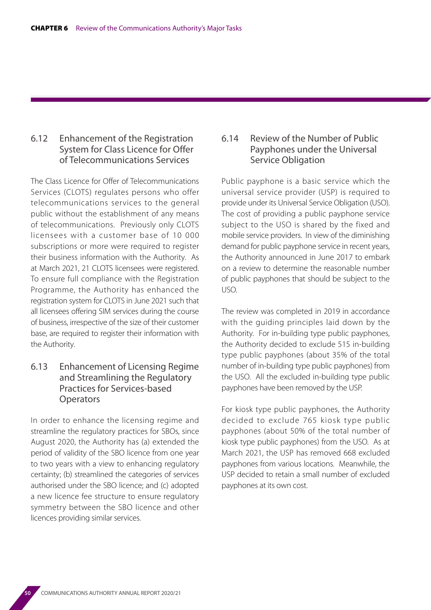#### 6.12 Enhancement of the Registration System for Class Licence for Offer of Telecommunications Services

The Class Licence for Offer of Telecommunications Services (CLOTS) regulates persons who offer telecommunications services to the general public without the establishment of any means of telecommunications. Previously only CLOTS licensees with a customer base of 10 000 subscriptions or more were required to register their business information with the Authority. As at March 2021, 21 CLOTS licensees were registered. To ensure full compliance with the Registration Programme, the Authority has enhanced the registration system for CLOTS in June 2021 such that all licensees offering SIM services during the course of business, irrespective of the size of their customer base, are required to register their information with the Authority.

#### 6.13 Enhancement of Licensing Regime and Streamlining the Regulatory Practices for Services-based **Operators**

In order to enhance the licensing regime and streamline the regulatory practices for SBOs, since August 2020, the Authority has (a) extended the period of validity of the SBO licence from one year to two years with a view to enhancing regulatory certainty; (b) streamlined the categories of services authorised under the SBO licence; and (c) adopted a new licence fee structure to ensure regulatory symmetry between the SBO licence and other licences providing similar services.

#### 6.14 Review of the Number of Public Payphones under the Universal Service Obligation

Public payphone is a basic service which the universal service provider (USP) is required to provide under its Universal Service Obligation (USO). The cost of providing a public payphone service subject to the USO is shared by the fixed and mobile service providers. In view of the diminishing demand for public payphone service in recent years, the Authority announced in June 2017 to embark on a review to determine the reasonable number of public payphones that should be subject to the USO.

The review was completed in 2019 in accordance with the guiding principles laid down by the Authority. For in-building type public payphones, the Authority decided to exclude 515 in-building type public payphones (about 35% of the total number of in-building type public payphones) from the USO. All the excluded in-building type public payphones have been removed by the USP.

For kiosk type public payphones, the Authority decided to exclude 765 kiosk type public payphones (about 50% of the total number of kiosk type public payphones) from the USO. As at March 2021, the USP has removed 668 excluded payphones from various locations. Meanwhile, the USP decided to retain a small number of excluded payphones at its own cost.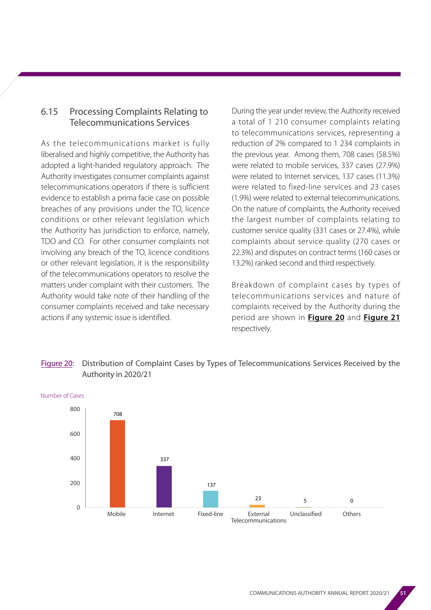## 6.15 Processing Complaints Relating to Telecommunications Services

As the telecommunications market is fully liberalised and highly competitive, the Authority has adopted a light-handed regulatory approach. The Authority investigates consumer complaints against telecommunications operators if there is sufficient evidence to establish a prima facie case on possible breaches of any provisions under the TO, licence conditions or other relevant legislation which the Authority has jurisdiction to enforce, namely, TDO and CO. For other consumer complaints not involving any breach of the TO, licence conditions or other relevant legislation, it is the responsibility of the telecommunications operators to resolve the matters under complaint with their customers. The Authority would take note of their handling of the consumer complaints received and take necessary actions if any systemic issue is identified.

During the year under review, the Authority received a total of 1 210 consumer complaints relating to telecommunications services, representing a reduction of 2% compared to 1 234 complaints in the previous year. Among them, 708 cases (58.5%) were related to mobile services, 337 cases (27.9%) were related to Internet services, 137 cases (11.3%) were related to fixed-line services and 23 cases (1.9%) were related to external telecommunications. On the nature of complaints, the Authority received the largest number of complaints relating to customer service quality (331 cases or 27.4%), while complaints about service quality (270 cases or 22.3%) and disputes on contract terms (160 cases or 13.2%) ranked second and third respectively.

Breakdown of complaint cases by types of telecommunications services and nature of complaints received by the Authority during the period are shown in **Figure 20** and **Figure 21**  respectively.

#### Figure 20: Distribution of Complaint Cases by Types of Telecommunications Services Received by the Authority in 2020/21

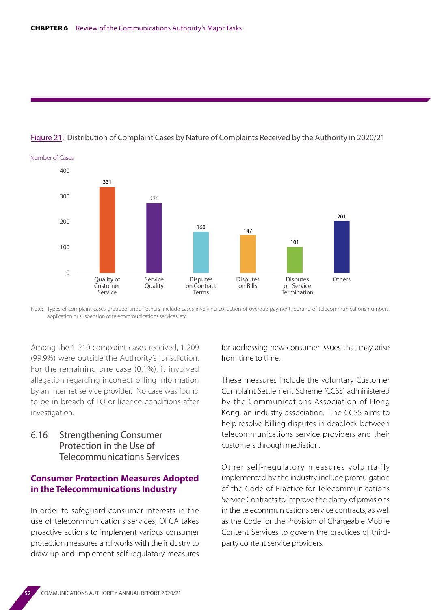

#### Figure 21: Distribution of Complaint Cases by Nature of Complaints Received by the Authority in 2020/21

Note: Types of complaint cases grouped under "others" include cases involving collection of overdue payment, porting of telecommunications numbers, application or suspension of telecommunications services, etc.

Among the 1 210 complaint cases received, 1 209 (99.9%) were outside the Authority's jurisdiction. For the remaining one case (0.1%), it involved allegation regarding incorrect billing information by an internet service provider. No case was found to be in breach of TO or licence conditions after investigation.

6.16 Strengthening Consumer Protection in the Use of Telecommunications Services

#### **Consumer Protection Measures Adopted in the Telecommunications Industry**

In order to safeguard consumer interests in the use of telecommunications services, OFCA takes proactive actions to implement various consumer protection measures and works with the industry to draw up and implement self-regulatory measures for addressing new consumer issues that may arise from time to time.

These measures include the voluntary Customer Complaint Settlement Scheme (CCSS) administered by the Communications Association of Hong Kong, an industry association. The CCSS aims to help resolve billing disputes in deadlock between telecommunications service providers and their customers through mediation.

Other self-regulatory measures voluntarily implemented by the industry include promulgation of the Code of Practice for Telecommunications Service Contracts to improve the clarity of provisions in the telecommunications service contracts, as well as the Code for the Provision of Chargeable Mobile Content Services to govern the practices of thirdparty content service providers.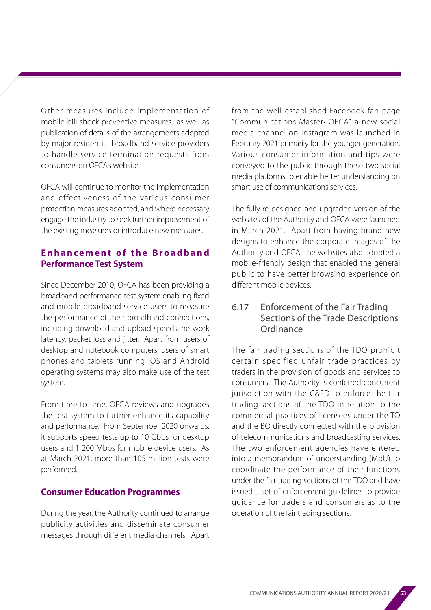Other measures include implementation of mobile bill shock preventive measures as well as publication of details of the arrangements adopted by major residential broadband service providers to handle service termination requests from consumers on OFCA's website.

OFCA will continue to monitor the implementation and effectiveness of the various consumer protection measures adopted, and where necessary engage the industry to seek further improvement of the existing measures or introduce new measures.

## **Enhancement of the Broadband Performance Test System**

Since December 2010, OFCA has been providing a broadband performance test system enabling fixed and mobile broadband service users to measure the performance of their broadband connections, including download and upload speeds, network latency, packet loss and jitter. Apart from users of desktop and notebook computers, users of smart phones and tablets running iOS and Android operating systems may also make use of the test system.

From time to time, OFCA reviews and upgrades the test system to further enhance its capability and performance. From September 2020 onwards, it supports speed tests up to 10 Gbps for desktop users and 1 200 Mbps for mobile device users. As at March 2021, more than 105 million tests were performed.

#### **Consumer Education Programmes**

During the year, the Authority continued to arrange publicity activities and disseminate consumer messages through different media channels. Apart from the well-established Facebook fan page "Communications Master• OFCA", a new social media channel on Instagram was launched in February 2021 primarily for the younger generation. Various consumer information and tips were conveyed to the public through these two social media platforms to enable better understanding on smart use of communications services.

The fully re-designed and upgraded version of the websites of the Authority and OFCA were launched in March 2021. Apart from having brand new designs to enhance the corporate images of the Authority and OFCA, the websites also adopted a mobile-friendly design that enabled the general public to have better browsing experience on different mobile devices.

#### 6.17 Enforcement of the Fair Trading Sections of the Trade Descriptions **Ordinance**

The fair trading sections of the TDO prohibit certain specified unfair trade practices by traders in the provision of goods and services to consumers. The Authority is conferred concurrent jurisdiction with the C&ED to enforce the fair trading sections of the TDO in relation to the commercial practices of licensees under the TO and the BO directly connected with the provision of telecommunications and broadcasting services. The two enforcement agencies have entered into a memorandum of understanding (MoU) to coordinate the performance of their functions under the fair trading sections of the TDO and have issued a set of enforcement guidelines to provide guidance for traders and consumers as to the operation of the fair trading sections.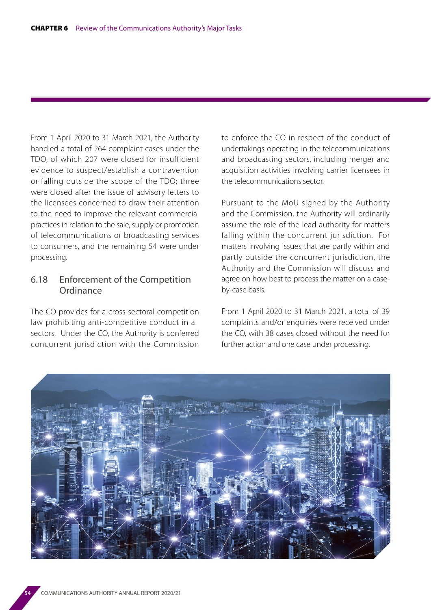From 1 April 2020 to 31 March 2021, the Authority handled a total of 264 complaint cases under the TDO, of which 207 were closed for insufficient evidence to suspect/establish a contravention or falling outside the scope of the TDO; three were closed after the issue of advisory letters to the licensees concerned to draw their attention to the need to improve the relevant commercial practices in relation to the sale, supply or promotion of telecommunications or broadcasting services to consumers, and the remaining 54 were under processing.

#### 6.18 Enforcement of the Competition **Ordinance**

The CO provides for a cross-sectoral competition law prohibiting anti-competitive conduct in all sectors. Under the CO, the Authority is conferred concurrent jurisdiction with the Commission to enforce the CO in respect of the conduct of undertakings operating in the telecommunications and broadcasting sectors, including merger and acquisition activities involving carrier licensees in the telecommunications sector.

Pursuant to the MoU signed by the Authority and the Commission, the Authority will ordinarily assume the role of the lead authority for matters falling within the concurrent jurisdiction. For matters involving issues that are partly within and partly outside the concurrent jurisdiction, the Authority and the Commission will discuss and agree on how best to process the matter on a caseby-case basis.

From 1 April 2020 to 31 March 2021, a total of 39 complaints and/or enquiries were received under the CO, with 38 cases closed without the need for further action and one case under processing.